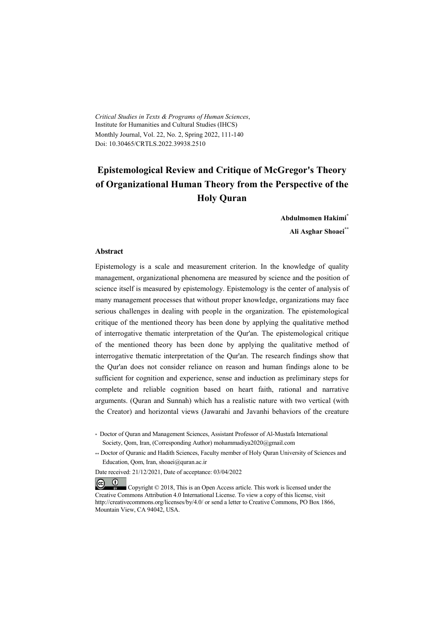*Critical Studies in Texts & Programs of Human Sciences*, Institute for Humanities and Cultural Studies (IHCS) Monthly Journal, Vol. 22, No. 2, Spring 2022, 111-140 Doi: 10.30465/CRTLS.2022.39938.2510

# **Epistemological Review and Critique of McGregor's Theory of Organizational Human Theory from the Perspective of the Holy Quran**

**Abdulmomen Hakimi\***

**Ali Asghar Shoaei\*\***

#### **Abstract**

Epistemology is a scale and measurement criterion. In the knowledge of quality management, organizational phenomena are measured by science and the position of science itself is measured by epistemology. Epistemology is the center of analysis of many management processes that without proper knowledge, organizations may face serious challenges in dealing with people in the organization. The epistemological critique of the mentioned theory has been done by applying the qualitative method of interrogative thematic interpretation of the Qur'an. The epistemological critique of the mentioned theory has been done by applying the qualitative method of interrogative thematic interpretation of the Qur'an. The research findings show that the Qur'an does not consider reliance on reason and human findings alone to be sufficient for cognition and experience, sense and induction as preliminary steps for complete and reliable cognition based on heart faith, rational and narrative arguments. (Quran and Sunnah) which has a realistic nature with two vertical (with the Creator) and horizontal views (Jawarahi and Javanhi behaviors of the creature

\* Doctor of Quran and Management Sciences, Assistant Professor of Al-Mustafa International Society, Qom, Iran, (Corresponding Author) mohammadiya2020@gmail.com

\*\* Doctor of Quranic and Hadith Sciences, Faculty member of Holy Quran University of Sciences and Education, Qom, Iran, shoaei@quran.ac.ir

Date received: 21/12/2021, Date of acceptance: 03/04/2022

 $(cc)$  $(1)$  Copyright © 2018, This is an Open Access article. This work is licensed under the Creative Commons Attribution 4.0 International License. To view a copy of this license, visit http://creativecommons.org/licenses/by/4.0/ or send a letter to Creative Commons, PO Box 1866, Mountain View, CA 94042, USA.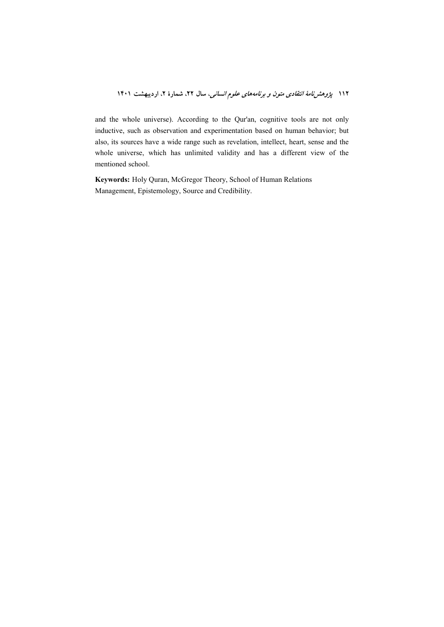and the whole universe). According to the Qur'an, cognitive tools are not only inductive, such as observation and experimentation based on human behavior; but also, its sources have a wide range such as revelation, intellect, heart, sense and the whole universe, which has unlimited validity and has a different view of the mentioned school.

Keywords: Holy Quran, McGregor Theory, School of Human Relations Management, Epistemology, Source and Credibility.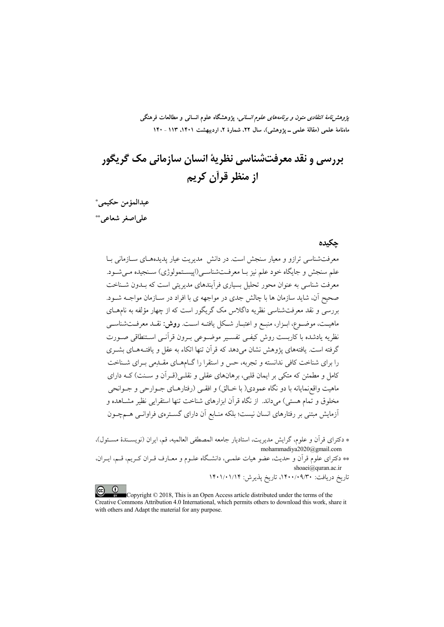*پژوهشنامهٔ انتقادی متون و برنامههای علوم انسانی،* پژوهشگاه علوم انسانی و مطالعات فرهنگی ماهنامهٔ علمی (مقالهٔ علمی ــ پژوهشی)، سال ۲۲، شمارهٔ ۲، اردیبهشت ۱۴۰۱، ۱۱۳ ـ ۱۴۰

# بررسي و نقد معرفتشناسي نظريهٔ انسان سازماني مک گريگور از منظر قرآن کریم

عبدالمؤمن حكيمي\* على اصغر شعاعي ٌ \*\*

#### حكىدە

معرفتشناسی ترازو و معیار سنجش است. در دانش ِ مدیریت عیار پدیدههـای ســازمانی بــا علم سنجش و جايگاه خود علم نيز بـا معرفـتشناسـي(اييسـتمولوژي) سـنجيده مـي شـود. معرفت شناسی به عنوان محور تحلیل بسیاری فرآیندهای مدیریتی است که بــدون شــناخت صحیح آن، شاید سازمان ها با چالش جدی در مواجهه ی با افراد در ســازمان مواجــه شــود. بررسی و نقد معرفتشناسی نظریه داگلاس مک گریگور است که از چهار مؤلفه به نامهــای ماهيـت، موضـوع، ابـزار، منبـع و اعتبــار شــكل يافتــه اســت. **روش:** نقــد معرفــتشناســي نظريه يادشده با كاربست روش كيفـي تفسـير موضـوعي بـرون قرآنـي اسـتنطاقي صـورت گرفته است. یافتههای یژوهش نشان می دهد که قرآن تنها اتکاء به عقل و یافتـههـای بشـری را برای شناخت کافی ندانسته و تجربه، حس و استقرا را گیامههای مقیدمی بیرای شیناخت کامل و مطمئن که متکی بر ایمان قلبی، برهانهای عقلی و نقلـی(قـرآن و سـنت) کــه دارای ماهيت واقعزمايانه با دو نگاه عمودي( با خــالق) و افقــي (رفتارهــاي جــوارحي و جــوانحي مخلوق و تمام هستی) میداند. از نگاه قرآن ابزارهای شناخت تنها استقرایی نظیر مشــاهده و .<br>آزمایش مبتنی بر رفتارهای انسان نیست؛ بلکه منــابع آن دارای گســترەی فراوانــی هــمچــون

\* دكتراي قرآن و علوم، گرايش مديريت، استاديار جامعه المصطفى العالميه، قم، ايران (نويسـندهٔ مسـئول)، mohammadiya2020@gmail.com \*\* دکترای علوم قرآن و حدیث، عضو هیات علمـی، دانشـگاه علـوم و معـارف قـران کـریم، قـم، ایـران، shoaei@quran.ac.ir

تاریخ دریافت: ۱۴۰۰/۰۹/۳۰، تاریخ پذیرش: ۱۴۰۱/۰۱/۱۴

 $\left(\mathrm{cc}\right)$   $\left(\mathrm{C}\right)$ Copyright © 2018, This is an Open Access article distributed under the terms of the Creative Commons Attribution 4.0 International, which permits others to download this work, share it with others and Adapt the material for any purpose.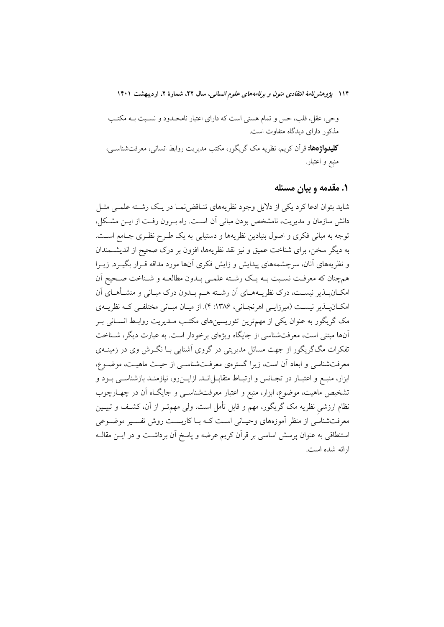وحی، عقل، قلب، حس و تمام هستی است که دارای اعتبار نامحـدود و نسـبت بــه مکتـب مذکور دارای دیدگاه متفاوت است.

**کلیدواژهها:** قرآن کریم، نظریه مک گریگور، مکتب مدیریت روابط انسانی، معرفتشناس<sub>ح</sub>، منبع و اعتبار.

#### ۱. مقدمه و بیان مسئله

شاید بتوان ادعا کرد یکی از دلایل وجود نظریههای تنـاقض نمـا در یـک رشـته علمـی مثـل دانش سازمان و مدیریت، نامشخص بودن مبانی آن است. راه بـرون رفـت از ایــن مشـکل، توجه به مبانی فکری و اصول بنیادین نظریهها و دستیابی به یک طـرح نظـری جـامع اسـت. به دیگر سخن، برای شناخت عمیق و نیز نقد نظریهها، افزون بر درک صحیح از اندیشــمندان و نظریههای آنان، سرچشمههای پیدایش و زایش فکری آنها مورد مداقه قـرار بگیـرد. زیـرا همچنان که معرفت نسبت بـه يـک رشـته علمـي بـدون مطالعـه و شـناخت صـحيح اَن امکـانپــذير نيســت، درک نظريــههــاي آن رشــته هــم بــدون درک مبــاني و منشــأهــاي آن امکان پذیر نیست (میرزایی اهرنجانی، ۱۳۸۶: ۴). از میان مبانی مختلفی که نظریـهی مک گریگور به عنوان یکی از مهمترین تئوریسینهای مکتـب مـدیریت روابـط انسـانی بـر آنها مبتنی است، معرفتشناسی از جایگاه ویژهای برخودار است. به عبارت دیگر، شـناخت تفکرات مگگریگور از جهت مسائل مدیریتی در گروی آشنایی بــا نگــرش وی در زمینــهی معرفتشناسی و ابعاد اّن است، زیرا گسترهی معرفتشناسی از حیث ماهیت، موضـوع، ابزار، منبـع و اعتبــار در تجــانس و ارتبــاط متقابــل|نــد. ازايــن(و، نيازمنــد بازشناســي بــود و تشخیص ماهیت، موضوع، ابزار، منبع و اعتبار معرفتشناسـی و جایگـاه آن در چهـارچوب نظام ارزشی نظریه مک گریگور، مهم و قابل تأمل است، ولی مهمتـر از آن، کشـف و تبیــین معرفتشناسی از منظر آموزههای وحیـانی اسـت کــه بــا کاربســت روش تفســیر موضــوعی استنطاقی به عنوان پرسش اساسی بر قرآن کریم عرضه و پاسخ آن برداشت و در ایــن مقالــه ارائه شده است.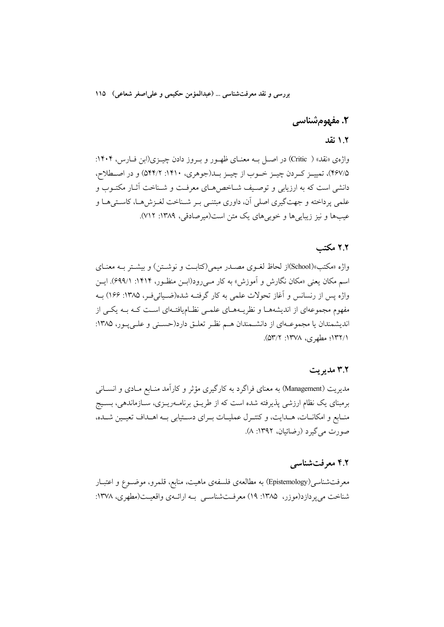# ٢. مفهومشناسي

#### ١.٢ نقد

واژهي «نقد» ( Critic) در اصبل په معنیای ظهیور و پیروز دادن چینزی(این فیارس، ۱۴۰۴: ۴۶۷/۵)، تمییـز کـردن چیـز خـوب از چیـز بـد(جوهري، ۱۴۱۰: ۵۴۴/۲) و در اصـطلاح، دانشی است که به ارزیابی و توصیف شـاخص۵هـای معرفـت و شـناخت آثـار مکتـوب و علمی پرداخته و جهتگیری اصلی آن، داوری مبتنـی بـر شـناخت لغـزشهـا، کاسـتیهـا و عیبها و نیز زیبایی ها و خوبی های یک متن است(میرصادقی، ۱۳۸۹: ۷۱۲).

### ۲.۲ مکتب

واژه «مکتب»(School)از لحاظ لغـوی مصـدر میمی(کتابـت و نوشـتن) و بیشـتر بـه معنـای اسم مکان یعنی «مکان نگارش و آموزش» به کار مـیرود(ابـن منظـور، ۱۴۱۴: ۶۹۹/۱). ایـن واژه پس از رنسانس و اَغاز تحولات علمی به کار گرفتـه شده(ضـیائیفـر، ۱۳۸۵: ۱۶۶) بــه مفهوم مجموعهای از اندیشههـا و نظریـههـای علمـی نظـامیافتـهای اسـت کـه بـه یکـی از اندیشمندان یا مجموعــهای از دانشــمندان هــم نظـر تعلــق دارد(حســنی و علــی پــور، ۱۳۸۵: ١/١٣٢)؛ مطهري، ١٣٧٨: ٥٣/٢).

#### ۳.۲ مدیریت

مدیریت (Management) به معنای فراگرد به کارگیری مؤثر و کارآمد منـابع مـادی و انســانی برمبنای یک نظام ارزشی پذیرفته شده است که از طریــق برنامــهریــزی، ســازماندهی، بســیج منـابع و امکانـات، هــدايت، و کنتـرل عمليـات بــراي دســتيابي بــه اهــداف تعيــين شــده، صورت مي گيرد (رضائيان، ١٣٩٢: ٨).

#### ۴.۲ معرفتشناسی

معرفتشناسی(Epistemology) به مطالعهی فلسفهی ماهیت، منابع، قلمرو، موضــوع و اعتبــار شناخت میپردازد(موزر، ۱۳۸۵: ۱۹) معرفتشناسی بـه ارائـهی واقعیـت(مطهری، ۱۳۷۸: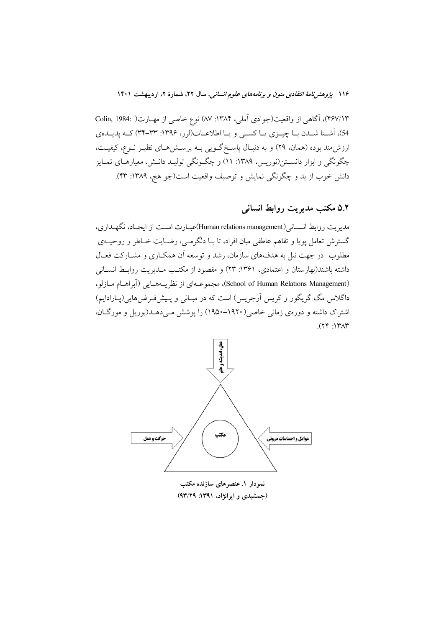۴۶۷/۱۳)، آگاهی از واقعیت(جوادی آملی، ۱۳۸۴: ۸۷) نوع خاصی از مهـارت( .Colin, 1984 54)، آشـنا شـدن بــا چيــزي يــا كســي و يــا اطلاعــات(لرر، ١٣٩۶: ٣٣-٣۴) كــه يديــدهي ارزش.مند بوده (همان، ۲۹) و به دنبـال پاسـخگـویی بــه پرســش۱صای نظیـر نــوع، کیفیــت، چگونگی و ابزار دانسـتن(نوریس، ۱۳۸۹: ۱۱) و چگـونگی تولیـد دانـش، معیارهـای تمـایز دانش خوب از بد و چگونگی نمایش و توصیف واقعیت است(جو هج، ۱۳۸۹: ۴۳).

### ۵.۲ مکتب مدیریت روابط انسانی

مديويت روابط انســاني (Human relations management)عبــارت اســت از ايجــاد، نگهــداري، گسترش تعامل پویا و تفاهم عاطفی میان افراد، تا بـا دلگرمـی، رضـایت خــاطر و روحیــهی مطلوب ً در جهت نیل به هدفهای سازمان، رشد و توسعه اَن همکـاری و مشــارکت فعــال داشته باشند(بهارستان و اعتمادی، ۱۳۶۱: ۲۳) و مقصود از مکتب مـدیریت روابـط انســانـی (School of Human Relations Management)، مجموعـهاي از نظريـههـايي (آبراهـام مـازلو، داگلاس مگ گریگور و کریس آرجریس) است که در مبـانی و پـیشفـرضهایی(پـارادایم) اشتراک داشته و دورهی زمانی خاصی(۱۹۲۰–۱۹۵۰) را پوشش مـیدهــد(بوریل و مورگـان،  $(79.17)$ 



نمودار ۱. عنصرهای سازنده مکتب (جمشیدی و ایرانژاد، ۱۳۹۱: ۹۳/۲۹)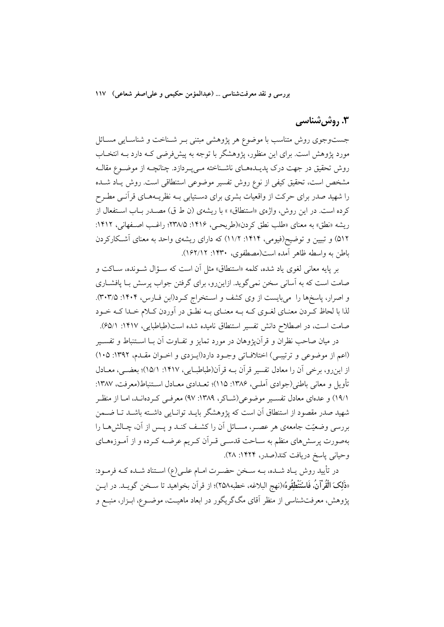### ۳. روش شناسی

جستوجوی روش متناسب با موضوع هر پژوهشی مبتنی بــر شــناخت و شناســایی مســائل مورد پژوهش است. برای این منظور، پژوهشگر با توجه به پیشفررضی کـه دارد بـه انتخـاب روش تحقیق در جهت درک پدیــدههــای ناشــناخته مــیپــردازد. چنانچــه از موضــوع مقالــه مشخص است، تحقیق کیفی از نوع روش تفسیر موضوعی استنطاقی است. روش یــاد شــده را شهید صدر برای حرکت از واقعیات بشری برای دسـتیابی بــه نظریــههــای قرآنــی مطـرح کرده است. در این روش، واژهی «استنطاق» » با ریشهی (ن ط ق) مصـدر بـاب اسـتفعال از ريشه «نطق» به معناي «طلب نطق كردن»(طريحيي، ١۴١۶: ٢٣٨/۵)؛ راغب اصفهاني، ١۴١٢: ۵۱۲) و تبیین و توضیح(فیومی، ۱۴۱۴: ۱۱/۲) که دارای ریشهی واحد به معنای آشکارکردن باطن به واسطه ظاهر آمده است(مصطفوي، ۱۴۳۰: ۱۶۲/۱۲).

بر پایه معانی لغوی یاد شده، کلمه «استنطاق» مثل آن است که سـؤال شـونده، سـاکت و صامت است که به آسانی سخن نمی گوید. ازاین٫و، برای گرفتن جواب پرسش بـا یافشــاری و اصرار، یاسخها را می بایست از وی کشف و استخراج کرد(ابن فیارس، ۱۴۰۴: ۳۰۳/۵). لذا با لحاظ کردن معنـاي لغـوي کـه بـه معنـاي بـه نطـق در اَوردن کـلام خـدا کـه خـود صامت است، در اصطلاح دانش تفسیر استنطاق نامیده شده است(طباطبایی، ۱۴۱۷: ۶۵/۱).

در میان صاحب نظران و قرآن،ژوهان در مورد تمایز و تفــاوت آن بــا اســتنباط و تفســیر (اعم از موضوعی و ترتیبی) اختلافاتی وجـود دارد(ایـزدی و اخـوان مقـدم، ۱۳۹۲: ۱۰۵) از این رو، برخی آن را معادل تفسیر قرآن بـه قرآن(طباطبـایی، ۱۴۱۷: ۱۵/۱)؛ بعضـی، معــادل تأويل و معاني باطني(جوادي اَملـي، ١٣٨۶: ١١٥)؛ تعـدادي معـادل اسـتنباط(معرفت، ١٣٨٧: ١٩/١) و عدماي معادل تفسير موضوعي(شــاكر، ١٣٨٩: ٩٧) معرفـي كـردمانـد، امــا از منظـر شهید صدر مقصود از استنطاق آن است که پژوهشگر بایـد توانـایی داشـته باشـد تـا ضـمن بررسی وضعیّت جامعهی هر عصــر، مســائل اَن را کشــف کنــد و پــس از اَن، چــالش۵هــا را بهصورت پرسشهای منظم به سـاحت قدسـی قـراَن کـریم عرضـه کـرده و از اَمـوزههـای وحياني پاسخ دريافت كند(صدر، ١۴٢۴: ٢٨).

در تأييد روش يـاد شـده، بــه سـخن حضــرت امــام علــي(ع) اســتناد شــده كــه فرمــود: «ذَلِكَ الْقُرْآنُ، فَاسْتَنْطِقُوهُ»(نهج البلاغه، خطبه٢٥٨)؛ از قرآن بخواهيد تا ســخن گويــد. در ايــن پژوهش، معرفتشناسی از منظر آقای مگگریگور در ابعاد ماهیـت، موضـوع، ابـزار، منبـع و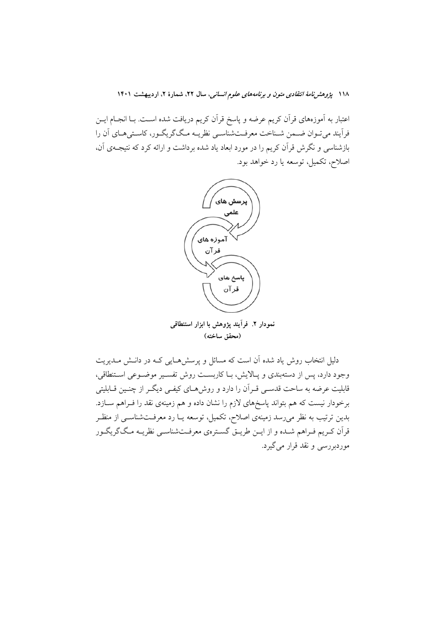اعتبار به آموزههای قرآن کریم عرضه و پاسخ قرآن کریم دریافت شده اسـت. بــا انجــام ایــن فراً پند می توان ضمن شـناخت معرفـتشناسـی نظریـه مـگ\$ریگـور، کاسـتیهـای اَن را بازشناسی و نگرش قرآن کریم را در مورد ابعاد یاد شده برداشت و ارائه کرد که نتیجـهی آن، اصلاح، تكميل، توسعه يا رد خواهد بود.



نمودار ۲. فرأيند يژوهش با ابزار استنطاقي (محقق ساخته)

دلیل انتخاب روش یاد شده آن است که مسائل و پرسشهایی کـه در دانــش مــدیریت وجود دارد، پس از دستهبندی و پـالایش، بـا کاربســت روش تفســیر موضــوعی اســتنطاقی، قابلیت عرضه به ساحت قدســی قــراَن را دارد و روش۵هــای کیفــی دیگــر از چنــین قــابلیتی برخودار نیست که هم بتواند پاسخهای لازم را نشان داده و هم زمینهی نقد را فـراهم ســازد. بدین ترتیب به نظر میرسد زمینهی اصلاح، تکمیل، توسعه یـا رد معرفــتشناســی از منظـر قرأن كـريم فـراهم شـده و از ايــن طريــق گســترهي معرفــتشناســي نظريــه مــگ گريگــور موردبررسي و نقد قرار مي گيرد.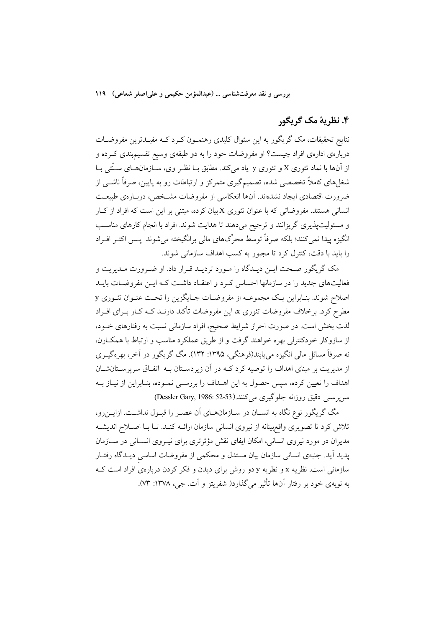### ۴. نظریهٔ مک گریگور

نتایج تحقیقات، مک گریگور به این سئوال کلیدی رهنمــون کــرد کــه مفیــدترین مفروضــات دربارهی ادارهی افراد چیست؟ او مفروضات خود را به دو طبقهی وسیع تقسیمبندی کـرده و از آنها با نماد تئوري X و تئوري y یاد مي کند. مطابق بـا نظـر وي، سـازمانهـاي سـتّتي بـا شغلهای کاملاً تخصصی شده، تصمیمگیری متمرکز و ارتباطات رو به پایین، صرفاً ناشــی از ضرورت اقتصادي ايجاد نشدهاند. آنها انعكاسي از مفروضات مشـخص، دربـارهي طبيعـت انسانی هستند. مفروضاتی که با عنوان تئوری X بیان کرده، مبتنی بر این است که افراد از کبار و مسئولیتپذیری گریزانند و ترجیح میدهند تا هدایت شوند. افراد با انجام کارهای مناسب انگیزه پیدا نمی کنند؛ بلکه صرفاً توسط محرِّکهای مالی برانگیخته میشوند. پـس اکثـر افـراد را بايد با دقت، كنترل كرد تا مجبور به كسب اهداف سازماني شوند.

مک گریگور صـحت ایـن دیـدگاه را مـورد تردیـد قـرار داد. او ضـرورت مـدیریت و .<br>فعالیتهای جدید را در سازمانها احساس کـرد و اعتقـاد داشــت کـه ایــن مفروضــات بایــد اصلاح شوند. بنـابراین یـک مجموعـه از مفروضـات جـایگزین را تحـت عنـوان تئـوری y مطرح کرد. برخلاف مفروضات تئوری x، این مفروضات تأکید دارنـد کــه کــار بــرای افــراد لذت بخش است. در صورت احراز شرایط صحیح، افراد سازمانی نسبت به رفتارهای خــود، از سازوکار خودکنترلی بهره خواهند گرفت و از طریق عملکرد مناسب و ارتباط با همکــارن، نه صرفاً مسائل مالی انگیزه می یابند(فرهنگی، ۱۳۹۵: ۱۳۲). مگ گریگور در آخر، بهرهگیـری از مدیریت بر مبنای اهداف را توصیه کرد کـه در آن زیردسـتان بـه اتفـاق سرپرسـتانشـان اهداف را تعیین کرده، سپس حصول به این اهـداف را بررسـی نمـوده، بنـابراین از نیـاز بــه سرپرستی دقیق روزانه جلوگیری میکنند.(Dessler Gary, 1986: 52-53)

مگ گریگور نوع نگاه به انسـان در سـازمانهـاي آن عصـر را قبـول نداشـت. ازايــنرو، تلاش كرد تا تصويري واقع بينانه از نيروي انساني سازمان ارائــه كنــد. تــا بــا اصــلاح انديشــه مدیران در مورد نیروی انسانی، امکان ایفای نقش مؤثرتری برای نیـروی انسـانی در سـازمان پدید آید. جنبهی انسانی سازمان بیان مستدل و محکمی از مفروضات اساسی دیـدگاه رفتـار سازمانی است. نظریه x و نظریه y دو روش برای دیدن و فکر کردن دربارهی افراد است کـه به نوبهي خود بر رفتار آنها تأثير مي گذارد( شفريتز و آت جي، ١٣٧٨: ٣٣).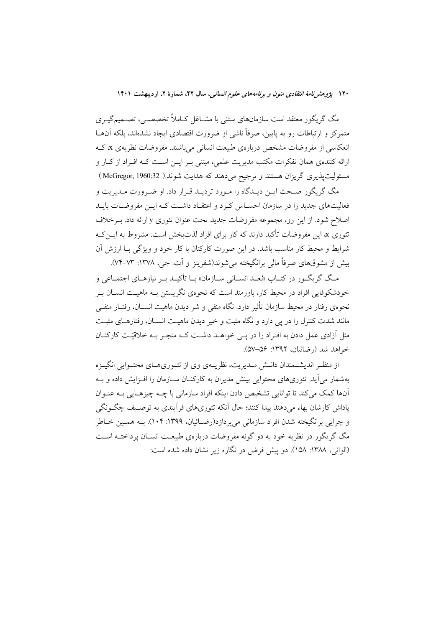مگ گریگور معتقد است سازمانهای ستنی با مشــاغل کــاملاً تخصصــی، تصــمیمگیــری متمرکز و ارتباطات رو به پایین، صرفاً ناشی از ضرورت اقتصادی ایجاد نشدهاند، بلکه آنهــا انعکاسی از مفروضات مشخص دربارهی طبیعت انسانی میباشند. مفروضات نظریهی x، ک ارائه کنندهی همان تفکرات مکتب مدیریت علمی، مبتنی بـر ایــن اســت کــه افــراد از کــار و مسئولیتپذیری گریزان هستند و ترجیح میدهند که هدایت شوند.( McGregor, 1960:32 )

مگ گريگور صـحت ايـن ديـدگاه را مـورد ترديـد قـرار داد. او ضـرورت مـديريت و فعالیتهای جدید را در سازمان احسـاس کـرد و اعتقـاد داشـت کـه ایــن مفروضـات بایــد اصلاح شود. از این رو، مجموعه مفروضات جدید تحت عنوان تئوری y ارائه داد. بـرخلاف تئوری x، این مفروضات تأکید دارند که کار برای افراد لذتبخش است. مشروط به ایــن *کـ*ه شرایط و محیط کار مناسب باشد، در این صورت کارکنان با کار خود و ویژگی بـا ارزش آن بيش از مشوقهاي صرفاً مالي برانگيخته مي شوند(شفريتز و آت جي، ١٣٧٨: ٧٣-٧۴).

مگ گریگ ور در کتـاب «نُعـد انســانی ســازمان» سا تأکیــد سر نیازهــای اجتمــاعی و خودشکوفایی افراد در محیط کار، باورمند است که نحو می نگریستن بـه ماهیـت انســان بــر نحووی رفتار در محیط سازمان تأثیر دارد. نگاه منفی و شر دیدن ماهیت انســان، رفتــار منفــی مانند شدت کنترل را در یی دارد و نگاه مثبت و خیر دیدن ماهیـت انســان، رفتارهــای مثبــت مثل اَزادی عمل دادن به افـراد را در یـی خواهـد داشـت کـه منجـر بـه خلاقیّـت کارکنــان خواهد شد (رضائيان، ١٣٩٢: ٥٤-۵٧).

از منظـر اندیشــمندان دانــش مــدیریت، نظریــهی وی از تئــوریهــای محتــوایی انگیــزه بهشمار می آید. تئوریهای محتوایی بینش مدیران به کارکنــان ســازمان را افــزایش داده و بــه آنها کمک میکند تا توانایی تشخیص دادن اینکه افراد سازمانی با چــه چیزهـایی بــه عنــوان یاداش کارشان بهاء می دهند پیدا کنند؛ حال اّنکه تئوریهای فراّیندی به توصیف چگـونگی و چرایی برانگیخته شدن افراد سازمانی میپردازد(رضـائیان، ۱۳۹۹: ۱۰۴). بــه همــین خــاطر مگ گریگور در نظریه خود به دو گونه مفروضات دربارهی طبیعـت انســان پرداختــه اســت (الواني، ١٣٨٨: ١۵٨). دو پيش فرض در نگاره زير نشان داده شده است: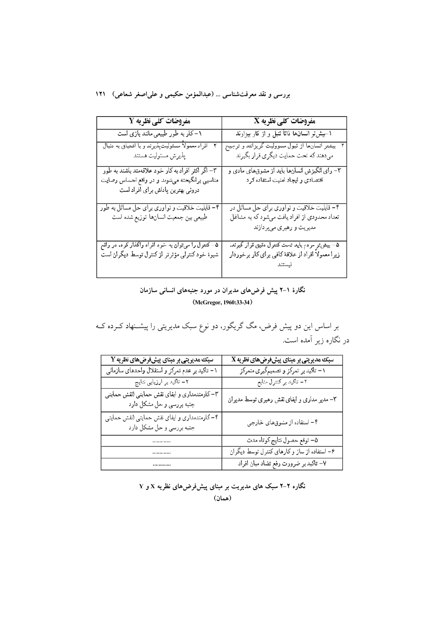### بررسی و نقد معرفتشناسی ... (عبدالمؤمن حکیمی و علیاصغر شعاعی) ۱۲۱

| <b>مفروضات کلی نظریه 2</b>                                                | ${\bf X}$ مفروضات کلی نظریه                                                             |
|---------------------------------------------------------------------------|-----------------------------------------------------------------------------------------|
| ۱–کار به طور طبیعی مانند بازی است                                         | ۱–بیشتر انسانها ذاتاً تنبل و از کار بیزارند                                             |
| – افراد معمولاً مسئولیتپذیرند و با اشتیاق به دنبال<br>پذيرش مسئوليت هستند | بیشتر انسانها از قبول مسوولیت گریزانند و ترجیح<br>میدهند که تحت حمایت دیگری قرار بگیرند |
| ۳– اگر اکثر افراد به کار خود علاقهمند باشند به طور                        | ۳– رای آنگیزش انسانها باید از مشوقهای مادی و                                            |
| مناسبی برانگیخته میشوند و در واقع احساس رضایت                             | اقتصادی و ایجاد امنیت استفاده کرد                                                       |
| دروني بهترين پاداش براي افراد است                                         |                                                                                         |
| ۴– قابلیت خلاقیت و نواوری برای حل مسائل به طور                            | ۴– قابلیت خلاقیت و نواوری برای حل مسائل در                                              |
| طبيعي بين جمعيت انسانها توزيع شده است                                     | تعداد محدودی از افراد یافت میشود که به مشاغل                                            |
|                                                                           | مدیریت و رهبری میپردازند                                                                |
| ۵– کنترل را میتوان به خود افراد واگذار کرد. در واقع                       | ۵- بیشتر مردم باید تحت کنترل دقیق قرار گیرند.                                           |
| شیوهٔ خود کنترلی مؤثرتر از کنترل توسط دیگران است                          | زیرا معمولاً افراد از علاقهٔ کافی برای کار برخوردار                                     |
|                                                                           |                                                                                         |
|                                                                           |                                                                                         |

### نگارهٔ ۱–۲ پیش فرضهای مدیران در مورد جنبههای انسانی سازمان (McGregor, 1960:33-34)

بر اساس این دو پیش فرض، مگ گریگور، دو نوع سبک مدیریتی را پیشــنهاد کــرده کــه در نگاره زیر آمده است.

| $\overline{\mathbf{Y}}$ سبک مدیریتی بر مبنای پیشفرضهای نظریه               | $\boldsymbol{\mathrm{X}}$ سبک مدیریتی بر مبنای پیشفرضهای نظریه |
|----------------------------------------------------------------------------|----------------------------------------------------------------|
| ۱– تاکید بر عدم تمرکز و استقلال واحدهای سازمان <sub>ی</sub>                | ۱- تاکید بر تمرکز و تصمیمگیری متمرکز                           |
| ۲- تاکید بر ارزیابی نتایج                                                  | ۲- تاکید بر کنترل منابع                                        |
| ۳- کارمندمداری و ایفای نقش حمایتی (نقش حمایتی<br>جنبه بررسی و حل مشکل دارد | ۳– مدیر مداری و ایفای نقش رهبری توسط مدیران                    |
| ۴- کارمندمداری و ایفای نقش حمایتی (نقش حمایتی<br>جنبه بررسي و حل مشكل دارد | ۴– استفاده از مشوقهای خارجی                                    |
|                                                                            | ۵- توقع حصول نتايج كوتاه مدت                                   |
|                                                                            | ۶– استفاده از ساز و کارهای کنترل توسط دیگران                   |
|                                                                            | ۷– تاکید بر ضرورت رفع تضاد میان افراد                          |

نگاره ۲-۲ سبک های مدیریت بر مبنای پیشفرضهای نظریه X و Y (همان)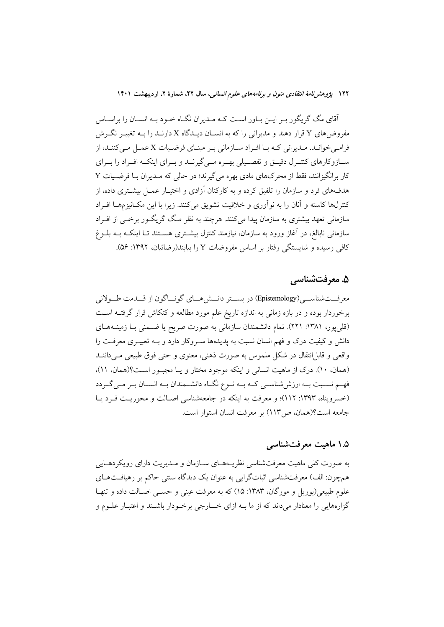اّقای مگ گریگور بـر ایــن بــاور اســت کــه مــدیران نگــاه خــود بــه انســان را براســاس مفروضهای Y قرار دهند و مدیرانی را که به انســان دیــدگاه X دارنــد را بــه تغییــر نگــرش فرامبي خوانـد. مـديراني كـه بـا افـراد سـازماني بـر مبنـاي فرضـيات X عمـل مـي كننـد، از ســازوکارهای کنتــرل دقیــق و تفصــیلی بهــره مــی گیرنــد و بــرای اینکــه افــراد را بــرای کار برانگیزانند، فقط از محرکهای مادی بهره می گیرند؛ در حالی که مـدیران بـا فرضـیات Y هدفهای فرد و سازمان را تلفیق کرده و به کارکنان آزادی و اختیـار عمـل بیشــتری داده، از كنترلها كاسته و آنان را به نوآوري و خلاقيت تشويق مي كنند. زيرا با اين مكـانيزمهـا افـراد سازمانی تعهد بیشتری به سازمان پیدا میکنند. هرچند به نظر مـگ گریگـور برخـی از افـراد سازمانی نابالغ، در آغاز ورود به سازمان، نیازمند کنتزل بیشـتری هسـتند تـا اینکـه بــه بلــوغ کافی رسیده و شایستگی رفتار بر اساس مفروضات Y را بیابند(رضائیان، ۱۳۹۲: ۵۶).

### ۵. معرفتشناسی

معرفـــتشناســــي(Epistemology) در بســـتر دانـــش(هـــاي گونـــاگون از قـــدمت طـــولاني برخوردار بوده و در بازه زمانی به اندازه تاریخ علم مورد مطالعه و کنکاش قرار گرفتـه اسـت (قلبیپور، ۱۳۸۱: ۲۲۱). تمام دانشمندان سازمانی به صورت صریح یا ضـمنی بـا زمینــههــای دانش و کیفیت درک و فهم انسان نسبت به پدیدهها سـروکار دارد و بــه تعبیــری معرفــت را واقعی و قابل|نتقال در شکل ملموس به صورت ذهنی، معنوی و حتی فوق طبیعی مـیداننــد (همان، ١٠). درک از ماهیت انسانی و اینکه موجود مختار و یـا مجبـور اسـت؟(همان، ١١)، فهم نسـبت بـه ارزششناسـي كـه بـه نـوع نگـاه دانشـمندان بـه انسـان بـر مـي گـردد (خسرویناه، ۱۳۹۳: ۱۱۲)؛ و معرفت به اینکه در جامعهشناسی اصـالت و محوریـت فـرد یـا جامعه است؟(همان، ص١١٣) بر معرفت انسان استوار است.

### ۰.۵ ماهیت معرفتشناسی

به صورت کلی ماهیت معرفتشناسی نظریـههـای سـازمان و مـدیریت دارای رویکردهـایی همچون: الف) معرفتشناسی اثباتگرایی به عنوان یک دیدگاه سنتی حاکم بر رهیافتهـای علوم طبیعی(بوریل و مورگان، ۱۳۸۳: ۱۵) که به معرفت عینی و حســی اصــالت داده و تنهـا گزارههایی را معنادار میداند که از ما بـه ازای خــــارجی برخــودار باشــند و اعتبــار علــوم و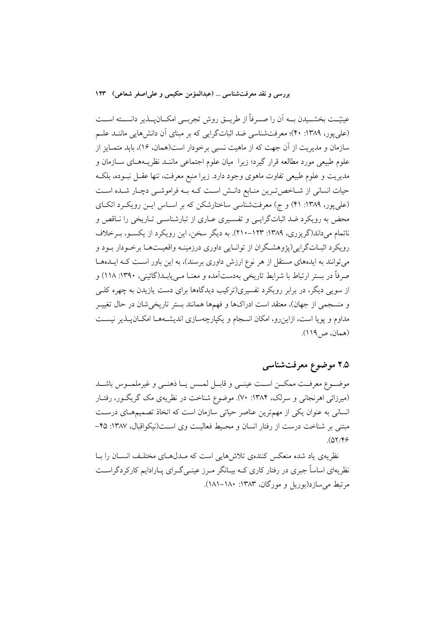عینیّـت بخشــیدن بــه اَن را صــرفاً از طریــق روش تجربــی امکــانپـــذیر دانســته اســت (علی یور، ۱۳۸۹: ۴۰)؛ معرفتشناسی ضد اثباتگرایی که بر مبنای آن دانش هایی ماننـد علـم سازمان و مدیریت از آن جهت که از ماهیت نسبی برخودار است(همان، ۱۶)، باید متمـایز از علوم طبیعی مورد مطالعه قرار گیرد؛ زیرا ً میان علوم اجتماعی ماننـد نظریــههــای ســازمان و مدیریت و علوم طبیعی تفاوت ماهوی وجود دارد. زیرا منبع معرفت، تنها عقــل نبــوده، بلکــه حیات انسانی از شـاخص تـرین منـابع دانـش اسـت کـه بـه فراموشـی دچـار شـده اسـت (علی پور، ۱۳۸۹: ۴۱) و ج) معرفتشناسی ساختارشکن که بر اسـاس ایـن رویکـرد اتکـای محض به رویکرد ضد اثباتگرایسی و تفسیری عباری از تبارشناسبی تباریخی را نباقص و ناتمام می داند(گریزری، ۱۳۸۹: ۱۲۳-۲۱۰). به دیگر سخن، این رویکرد از یکسـو، بـرخلاف رویکرد اثبــاتگرایی(پژوهشــگران از توانــایی داوری درزمینــه واقعیــتهــا برخــودار بــود و میتوانند به ایدههای مستقل از هر نوع ارزش داوری برسند)، به این باور است کـه ایــدهـا صرفاً در بستر ارتباط با شرايط تاريخي بەدستآمده و معنــا مــې پابــد(گائينې، ۱۳۹۰: ۱۱۸) و از سویی دیگر، در برابر رویکرد تفسیری(ترکیب دیدگاهها برای دست یازیدن به چهره کلبی و منسجمی از جهان)، معتقد است ادراکها و فهمها همانند بستر تاریخیشان در حال تغییــر مداوم و یویا است، ازاینرو، امکان انسجام و یکپارچهسازی اندیشـههـا امکـان یـذیر نیسـت (همان، ص١١٩).

۲.۵ موضوع معرفتشناسی

موضـوع معرفـت ممكــن اســت عينــي و قابــل لمــس يــا ذهنــي و غيرملمــوس باشــد (میرزائی اهرنجانی و سرلک، ۱۳۸۴: ۷۰). موضوع شناخت در نظریهی مک گریگور، رفتـار انسانی به عنوان یکی از مهمترین عناصر حیاتی سازمان است که اتخاذ تصمیمهای درست مبتنی بر شناخت درست از رفتار انسان و محیط فعالیت وی است(نیکواقبال، ۱۳۸۷: ۴۵- $(07/99)$ 

نظریهی یاد شده منعکس کنندهی تلاش هایی است که مـدل۵عـای مختلـف انســان را بــا نظریهای اساساً جبری در رفتار کاری کــه بیــانگر مــرز عینــی گــرای پــارادایم کارکردگراســت مرتبط می سازد(بوریل و مورگان، ۱۳۸۳: ۱۸۰–۱۸۱۱).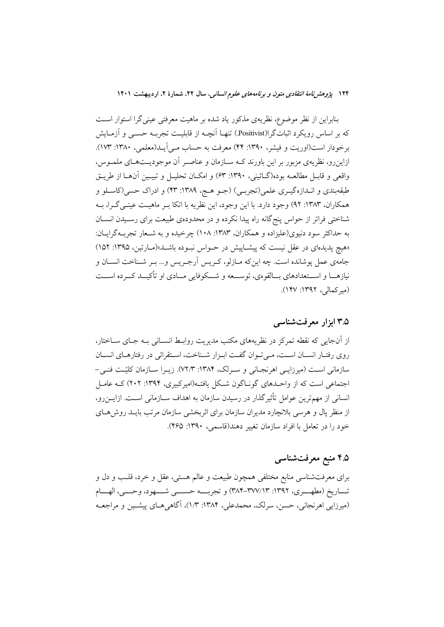بنابراین از نظر موضوع، نظریهی مذکور یاد شده بر ماهیت معرفتی عینی گرا استوار است که بر اساس رویکرد اثباتگرا(Positivist.) تنهـا آنچـه از قابلیـت تجربـه حســي و آزمــایش برخودار است(اوریت و فیشر، ۱۳۹۰: ۴۴) معرفت به حساب مـی]یــد(معلمی، ۱۳۸۰: ۱۷۳). ازاین رو، نظریهی مزبور بر این باورند کـه سـازمان و عناصـر آن موجودیــتهـای ملمــوس، واقعي و قابـل مطالعــه بوده(گــائيني، ١٣٩٠: ۶٣) و امكــان تحليـل و تبيــين أن@ــا از طريــق طبقهبندي و انـدازهگيــري علمي(تجربــي) (جــو هــج، ١٣٨٩: ٢٣) و ادراک حسي(کاســلو و همكاران، ١٣٨٣: ٩٢) وجود دارد. با اين وجود، اين نظريه با اتكا بـر ماهيـت عينـي گـرا، بـه شناختی فراتر از حواس پنج گانه راه پیدا نکرده و در محدودهی طبیعت برای رسـیدن انســان به حداکثر سود دنیوی(علیزاده و همکاران، ۱۳۸۳: ۱۰۸) چرخیده و به شـعار تجربـهگرایــان: «هیچ پدیدهای در عقل نیست که پیشــاپیش در حــواس نبــوده باشــد»(مــارتین، ۱۳۹۵: ۱۵۲) جامهي عمل پوشانده است. چه اينكه مـازلو، كـريس اَرجـريس و... بـر شـناخت انسـان و نیازهــا و اســـتعدادهای بــالقوهي، توســـعه و شـــکوفایی مــادی او تأکیــد کـــرده اســـت (میرکمالی، ۱۳۹۲: ۱۴۷).

### ۳.۵ ابزار معرفت شناسی

از آنجایی که نقطه تمرکز در نظریههای مکتب مدیریت روابـط انســانی بــه جــای ســاختار، روى رفتـار انسـان اسـت، مـى تـوان گفـت ابـزار شـناخت، اسـتقرائى در رفتارهـاى انسـان سازمانی است (میرزایسی اهرنجـانی و سـرلک، ۱۳۸۴: ۷۲/۳). زیـرا سـازمان کلیّـت فنــی-اجتماعی است که از واحـدهای گونــاگون شــکل یافتــه(امیرکبیری، ۱۳۹۴: ۲۰۲) کــه عامــل انسانی از مهمترین عوامل تأثیرگذار در رسیدن سازمان به اهداف ســازمانی اســت. ازایــن٫و، از منظر یال و هرسی بلانچارد مدیران سازمان برای اثربخشی سازمان مرتب بایــد روش هــای خود را در تعامل با افراد سازمان تغییر دهند(قاسمی، ۱۳۹۰: ۴۶۵).

### ۴.۵ منبع معرفتشناسی

برای معرفتشناسی منابع مختلفی همچون طبیعت و عالم هستی، عقل و خرد، قلـب و دل و تـــاريخ (مطهــــري، ١٣٩٢: ٣٧٧/١٣-٣٨٣) و تجربــــه حســــى شــــهود، وحــــى، الهــــام (میرزایی اهرنجانی، حسن، سرلک، محمدعلی، ۱۳۸۴: ۱/۳)، آگاهی هـای پیشـین و مراجعـه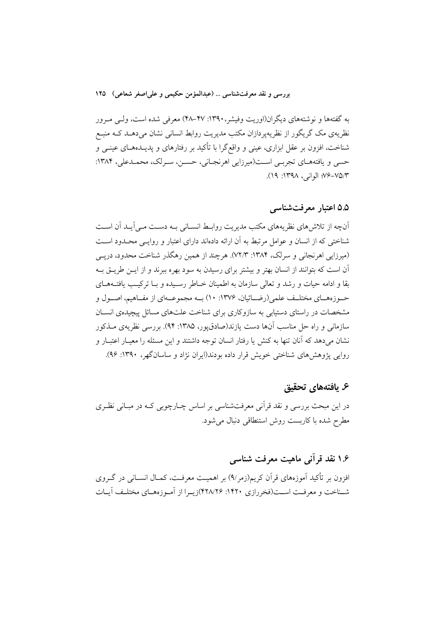به گفتهها و نوشتههای دیگران(اوریت وفیشر،۱۳۹۰: ۴۷–۴۸) معرفی شده است، ولـی مـرور نظریهی مک گریگور از نظریهپردازان مکتب مدیریت روابط انسانی نشان می،دهــد کــه منبــع شناخت، افزون بر عقل ابزاری، عینی و واقع گرا با تأکید بر رفتارهای و پدیــدههــای عینــی و حسي و يافتههـاي تجربـي اسـت(ميرزايي اهرنجـاني، حسـن، سـرلک، محمـدعلي، ١٣٨۴: ٧٥/٣-٧۶ الواني، ١٣٩٨: ١٩).

### ۵.۵ اعتبار معرفتشناسی

آنچه از تلاش های نظریههای مکتب مدیریت روابط انسـانی بـه دسـت مـی آیـد آن اسـت شناختی که از انسان و عوامل مرتبط به آن ارائه دادهاند دارای اعتبار و روایـبی محـدود اسـت (میرزایی اهرنجانی و سرلک، ۱۳۸۴: ۷۲/۳). هرچند از همین رهگذر شناخت محدود، دریــی آن است که بتوانند از انسان بهتر و بیشتر برای رسیدن به سود بهره ببرند و از ایــن طریــق بــه بقا و ادامه حیات و رشد و تعالی سازمان به اطمینان خــاطر رسـیده و بــا ترکیــب یافتــههــای حـــوزههـــاي مختلــف علمي(رضـــائيان، ۱۳۷۶: ۱۰) بــه مجموعـــهاي از مفــاهيم، اصـــول و مشخصات در راستای دستیابی به سازوکاری برای شناخت علتهای مسائل پیچیدهی انســان سازمانی و راه حل مناسب آنها دست یازند(صادق،یور، ۱۳۸۵: ۹۴). بررسی نظریهی مــذکور نشان میدهد که آنان تنها به کنش یا رفتار انسان توجه داشتند و این مسئله را معیـار اعتبـار و روایی پژوهش های شناختی خویش قرار داده بودند(ایران نژاد و ساسانگهر، ۱۳۹۰: ۹۶).

### ۶. يافتەهاي تحقيق

در این مبحث بررسی و نقد قرآنی معرفتشناسی بر اساس چــارچوبی کــه در مبــانی نظــری مطرح شده با كاربست روش استنطاقي دنبال مي شود.

# ۱.۶ نقد قرآنی ماهیت معرفت شناسی

افزون بر تأکید اَموزههای قراَن کریم(زمر۹٪) بر اهمیـت معرفـت، کمـال انســانی در گــروی شـناخت و معرفـت اسـت(فخررازي ١۴٢٠: ٢٢٨/٢۶)زيـرا از اَمـوزههـاي مختلـف اَيـات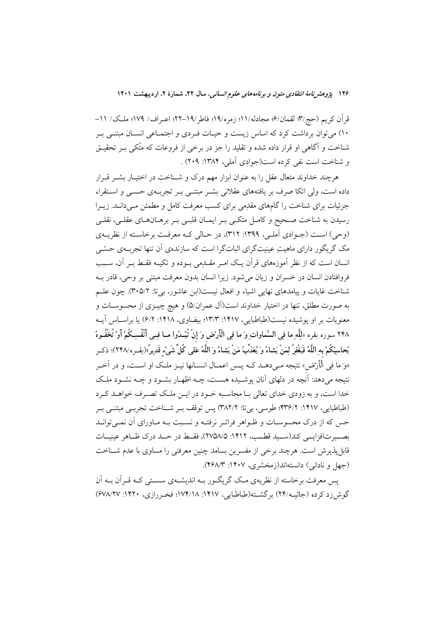قرآن کریم (حج/۳: لقمان/۶؛ مجادله/۱۱؛ زمره/۱۹؛ فاطر/۱۹–۲۲؛ اعـراف/ ۱۷۹؛ ملـک/ ۱۱– ۱۰) میتوان برداشت کرد که اساس زیست و حیـات فـردی و اجتمـاعی انسـان مبتنـی بـر شناخت و آگاهی او قرار داده شده و تقلید را جز در برخی از فروعات که متّکی بـر تحقیـق و شناخت است نفي كرده است(جوادي آملي، ۱۳۸۴: ۲۰۹) .

هرچند خداوند متعال عقل را به عنوان ابزار مهم درک و شــناخت در اختیــار بشــر قــرار داده است، ولی اتکا صرف بر یافتههای عقلانی بشـر مبتنـی بـر تجربـهی حسـی و اسـتقراء جزئیات برای شناخت را گامهای مقدِمی برای کسب معرفت کامل و مطمئن مـیدانــد. زیــرا رسیدن به شناخت صـحیح و کامـل متکـی بـر ایمـان قلبـی بـر برهـانهـای عقلـی، نقلـی (وحی) است (جـوادی آملـی، ۱۳۹۹: ۳۱۲)، در حـالی کـه معرفـت برخاسـته از نظریــهی مک گریگور دارای ماهیت عینیت گرای اثبات گرا است که سازندهی آن تنها تجربیهی حسّبی انسان است که از نظر آموزههای قرآن یک امـر مقــدِمی بــوده و تکیــه فقـط بــر آن، ســبب فروافتادن انسان در خسران و زيان مي شود. زيرا انسان بدون معرفت مبتني بر وحي، قادر بــه شناخت غايات و پيامدهاي نهايي اشياء و افعال نيست(ابن عاشور، بيتا: ٣٠٥/٢). چون علـم به صورت مطلق، تنها در اختیار خداوند است(آل عمران/۵) و هیچ چیــزی از محسوســات و معنویات بر او پوشیده نیست(طباطبایی، ۱۴۱۷: ۱۳/۳؛ بیضاوی، ۱۴۱۸: ۶/۲) یا براسـاس آیــه ۲۴۸ سوره بقره «لِلَّهِ ما فِي السَّماواتِ وَ ما فِي الْأَرْضِ وَ إِنْ تُبْـدُوا مــا فِـي أَنْفُسِـكُمْ أَوْ تُخْفُـوهُ يُحاسِبْكُمْ بِهِ اللَّهُ فَيَغْفِرُ لِمَنْ يَشاءُ وَ يُعَذِّبُ مَنْ يَشاءُ وَ اللَّهُ عَلَى كُلِّ شَيْء قَدِيرٌ»(بقـره/٢۴٨)؛ ذكـر «وَ ما فِي الْأَرْضِ» نتيجه مـي دهـد كـه يـس اعمـال انســانها نيــز ملـك او اســت، و در اَخــر نتیجه میدهد: آنچه در دلهای آنان پوشـیده هسـت، چــه اظهــار بشــود و چــه نشــود ملـک خدا است، و به زودي خداي تعالى بـا محاسـبه خــود در ايــن ملــک تصــرف خواهــد کــرد (طباطبایی، ۱۴۱۷: ۴۳۶/۲؛ طوسی، بی تا: ۳۸۲/۲) پس توقف بـر شـناخت تجربـی مبتنـی بـر حس که از درک محسوسـات و ظـواهر فراتـر نرفتـه و نسـبت بـه مـاوراي آن نمـي توانـد بصب تافزایسی کند(سبید قطب، ۱۴۱۲: ۲۷۵۸/۵)، فقسط در حسد درک ظباهر عینیسات قابلپذیرش است. هرچند برخی از مفسرین بسامد چنین معرفتی را مساوی با عدم شـناخت (جهل و نادانی) دانستهاند(زمخشری، ۱۴۰۷: ۴۶۸/۳).

پس معرفت برخاسته از نظریهی مـک گریگـور بـه اندیشـهی سسـتی کـه قـراَن بـه اَن گوش(رد کرده (جاثیبه/۲۴) برگشته(طباطبایی، ۱۴۱۷: ۱۷۴/۱۸؛ فخبررازی، ۱۴۲۰: ۶۷۸/۲۷)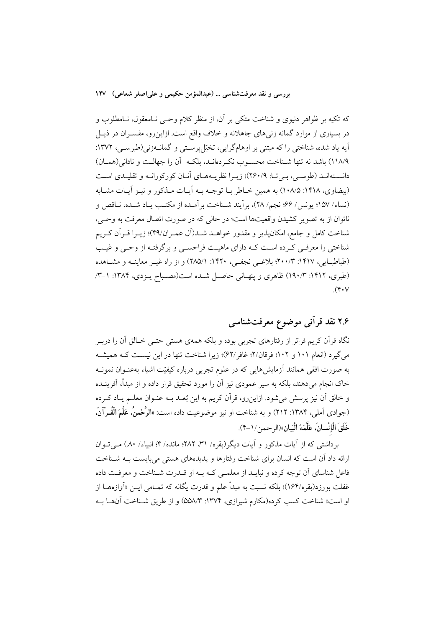که تکیه بر ظواهر دنیوی و شناخت متکی بر آن، از منظر کلام وحـی نـامعقول، نـامطلوب و در بسیاری از موارد گمانه زنی های جاهلانه و خلاف واقع است. ازاین رو، مفسـران در ذیــل آيه ياد شده، شناختي را كه مبتني بر اوهامگرايي، تخيّل پرسـتي و گمانــهزني(طبرســي، ١٣٧٢: ١١٨/٩) باشد نه تنها شـناخت محسـوب نكـردهانـد، بلكـه أن را جهالـت و ناداني(همـان) دانسـتهانـد (طوسـی، بـی تـا: ۲۶۰/۹)؛ زیـرا نظریـههـای آنـان کورکورانـه و تقلیـدی اسـت (بيضاوي، ١٤١٨: ١٠٨/٥) به همين خـاطر بـا توجـه بـه أيـات مـذكور و نيـز أيـات مشـابه (نساء/ ١۵٧؛ يونس/ ۶۶؛ نجم/ ٢٨)، برأيند شـناخت برأمـده از مكتـب يـاد شـده، نـاقص و ناتوان از به تصوير كشيدن واقعيتها است؛ در حالي كه در صورت اتصال معرفت به وحـي، شناخت كامل و جامع، امكانپذير و مقدور خواهــد شــد(آل عمــران/۴۹)؛ زيــرا قــراَن كــريم شناختی را معرفی کـرده اسـت کـه دارای ماهیـت فراحسـبی و برگرفتـه از وحـبی و غیـب (طباطبایی، ۱۴۱۷: ۲۰۰/۳؛ بلاغـی نجفـی، ۱۴۲۰: ۲۸۵/۱) و از راه غیـر معاینــه و مشــاهده (طبری، ۱۴۱۲: ۱۹۰/۳) ظاهری و پنهـانی حاصـل شـده است(مصـباح پـزدی، ۱۳۸۴: ۱–۳  $(\mathbf{Y} \cdot \mathbf{V})$ 

# ۲.۶ نقد قرآنی موضوع معرفتشناسی

نگاه قرأن کریم فراتر از رفتارهای تجربی بوده و بلکه همهی هستی حتــی خــالق اَن را دربــر می گیرد (انعام ۱۰۱ و ۱۰۲؛ فرقان/۲؛ غافر /۶۲)؛ زیرا شناخت تنها در این نیست کـه همیشـه به صورت افقی همانند آزمایش۵هایی که در علوم تجربی درباره کیفیّت اشیاء بهعنـوان نمونــه خاک انجام میدهند، بلکه به سیر عمودی نیز آن را مورد تحقیق قرار داده و از مبدأ، آفرینــده و خالق آن نیز پرسش میشود. ازاین٫و، قرآن کریم به این بُعـد بـه عنـوان معلـم یـاد کـرده (جوادي اَملي، ١٣٨۴: ٢١٢) و به شناخت او نيز موضوعيت داده است: «**الرَّحْمنُ، عَلَّمَ الْقُـرْآنَ**، خَلَقَ الْإِنْسانَ، عَلَّمَهُ الْبَيانِ»(الرحمن / ١-۴).

برداشتی که از آیات مذکور و آیات دیگر(بقره/ ۳۱، ۲۸۲؛ مائده/ ۴؛ انبیاء/ ۸۰) مبی تبوان ارائه داد آن است که انسان برای شناخت رفتارها و پدیدههای هستی می بایست بـه شـناخت فاعل شناسای آن توجه کرده و نبایـد از معلمـی کـه بـه او قـدرت شـناخت و معرفـت داده غفلت بورزد(بقره/۱۶۴)؛ بلکه نسبت به مبدأ علم و قدرت یگانه که تمـامی ایــن «آوازههــا از او است» شناخت كسب كرده(مكارم شيرازي، ۱۳۷۴: ۵۵۸/۳) و از طريق شـناخت آنهـا بـه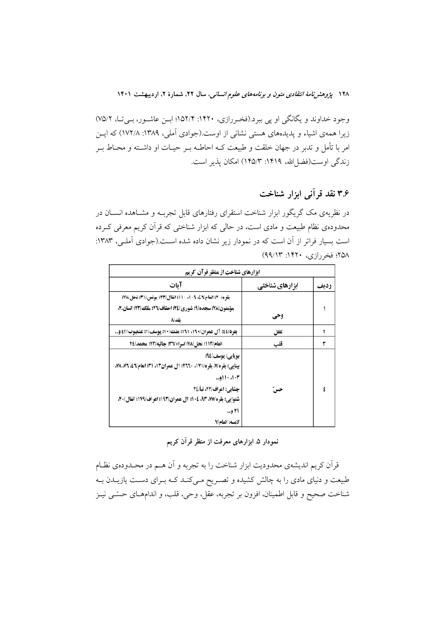وجود خداوند و یگانگی او پی ببرد.(فخررازی، ۱۴۲۰: ۱۵۲/۴؛ ابس عاشور، بیت، ۷۵/۲) زیرا همهی اشیاء و پدیدههای هستی نشانی از اوست.(جوادی آملی، ۱۳۸۹: ۱۷۲/۸) که ایس امر با تأمل و تدبر در جهان خلقت و طبیعت کـه احاطـه بــر حیــات او داشــته و محــاط بــر زندگی اوست(فضا الله، ۱۴۱۹: ۱۴۵/۳) امکان پذیر است.

# ۳۶ نقد قرآنی ابزار شناخت

در نظریهی مک گریگور ابزار شناخت استقرای رفتارهای قابل تجربــه و مشــاهده انســان در محدودهی نظام طبیعت و مادی است، در حالی که ابزار شناختی که قرآن کریم معرفی کـرده است بسیار فراتر از آن است که در نمودار زیر نشان داده شده است.(جوادی آملی، ۱۳۸۳: ٢۵٨؛ فخر رازي، ١۴٢٠؛ ٩٩/١٣)

| ابزارهای شناخت از منظر قرآن کریم                                 |                 |      |  |
|------------------------------------------------------------------|-----------------|------|--|
| آىات                                                             | ابزارهای شناختی | رديف |  |
| بقره/٢٠)؛ انعام\٤٦. ١٠٩. ١٠١؛ انفال\٢٣؛ يونس/٣١؛ نحل/٧٨؛         |                 |      |  |
| مؤمنون/٧٨؛ سجده/٩؛ شوري/٢٤؛ احقاف/٢٦؛ ملك/٢٣؛ انسان.٢،           |                 |      |  |
| ىلد∖∧                                                            | وحي             |      |  |
| بقره/٤٤: آل عمران/١٩٠، ١٩١: ملك/١٠: يوسف/٢: عنكبوت/٤٣ و          | عقل             |      |  |
| انعام/١١٣: نحل/٧٨؛ اسراء/٣٦؛ جاثيه/٢٣؛ محمد/٢٤                   | قلب             |      |  |
| بويايي: يوسف/٩٤؛                                                 |                 |      |  |
| بينايي: بقره/٧، بقره/١٧١، ٢٦٦٠؛ آل عمران١٢، ٣١؛ انعام/٤، ٧٦، ٧٨، |                 |      |  |
| ۰۰۱۰، ۱۰۱۰و…                                                     |                 |      |  |
| چشایی: اعراف/۲۲، نبأ/۲٤                                          | حس              |      |  |
| شنوايي: بقره/٧٥، ٩٣، ١٠٤؛ آل عمران/١٩٣؛ اعراف/١٧٩؛ انفال/٢٠،     |                 |      |  |
| ۲۱ و…                                                            |                 |      |  |
| لامسه: انعام/7                                                   |                 |      |  |

نمودار ۵ ابزارهای معرفت از منظر قرآن کریم

قرآن کریم اندیشهی محدودیت ابزار شناخت را به تجربه و آن هــم در محــدودهی نظــام طبیعت و دنیای مادی را به چالش کشیده و تصـریح مـیکنـد کــه بــرای دســت یازیــدن بــه شناخت صحیح و قابل اطمینان، افزون بر تجربه، عقل، وحی، قلب، و اندامهـای حسّــی نیــز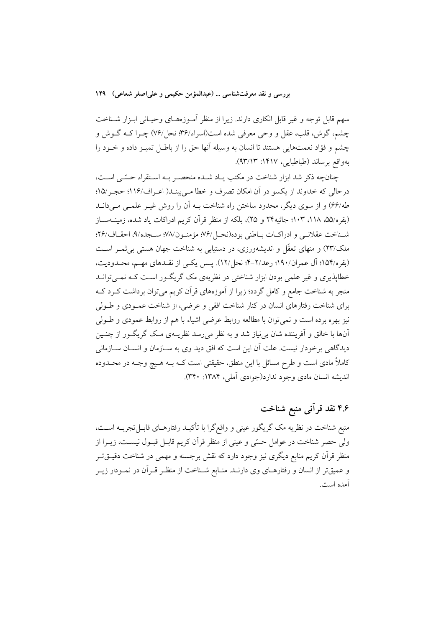سهم قابل توجه و غیر قابل انکاری دارند. زیرا از منظر آمـوزههـای وحیـانی ابـزار شــناخت چشم، گوش، قلب، عقل و وحی معرفی شده است(اسراء/۳۶، نحل/۷۶) چــرا کــه گــوش و چشم و فؤاد نعمتهایی هستند تا انسان به وسیله آنها حق را از باطـل تمیـز داده و خــود را بهواقع برساند (طباطبايي، ١۴١٧: ٩٣/١٣).

چنانچه ذکر شد ابزار شناخت در مکتب پیاد شیده منحصیر بیه استقراء حسّی است، درحالي كه خداوند از يكسو در آن امكان تصرف و خطا مــ بينــد( اعــراف/١١۶؛ حجـر /١۵؛ طه/۶۶) و از سوی دیگر، محدود ساختن راه شناخت بـه آن را روش غیـر علمـی مـی(انـد (بقره/۵۵، ۱۱۸، ۱۰۳؛ جاثیه۲۴ و ۲۵)، بلکه از منظر قرآن کریم ادراکات یاد شده، زمینــهســاز شناخت عقلانبي و ادراكيات بياطني بو ده(نحيل/٧۶ مؤمنيون/٧٨ سيجده/٩، احقياف/٢۶؛ ملک/۲۳) و منهای تعقّل و اندیشهورزی، در دستبایی به شناخت جهان هستی به ثمیر است (بقره/۱۵۴؛ آل عمران/۱۹۰؛ رعد/۲-۴؛ نحل/۱۲). پـس يكـي از نقـدهاي مهـم، محـدوديت، خطایذیری و غیر علمی بودن ابزار شناختی در نظریهی مک گریگـور اسـت کـه نمـی توانـد منجر به شناخت جامع و کامل گردد؛ زیرا از آموزههای قرآن کریم میتوان برداشت کـرد کــه براي شناخت رفتارهاي انسان در كنار شناخت افقى و عرضي، از شناخت عمـودي و طـولى نیز بهره برده است و نمی توان با مطالعه روابط عرضی اشیاء با هم از روابط عمودی و طــولی آنها با خالق و اَفریننده شان بی نیاز شد و به نظر می رسد نظریــهی مـک گریگــور از چنــین دیدگاهی برخودار نیست. علت آن این است که افق دید وی به ســازمان و انســان ســازمانی کاملاً مادی است و طرح مسائل با این منطق، حقیقتی است کــه بــه هــیچ وجــه در محــدوده انديشه انسان مادي وجود ندارد(جوادي آملي، ۱۳۸۴: ۳۴۰).

# ۴.۶ نقد قرآنی منبع شناخت

منبع شناخت در نظريه مک گريگور عيني و واقع گرا با تأکيـد رفتارهـاي قابــلتجربــه اســت، ولي حصر شناخت در عوامل حسّى و عيني از منظر قرآن كريم قابـل قبـول نيسـت، زيــرا از منظر قرآن کریم منابع دیگری نیز وجود دارد که نقش برجسته و مهمی در شناخت دقیــقتــر و عمیقتر از انسان و رفتارهـای وی دارنــد. منــابع شــناخت از منظــر قــراَن در نمــودار زيــر آمده است.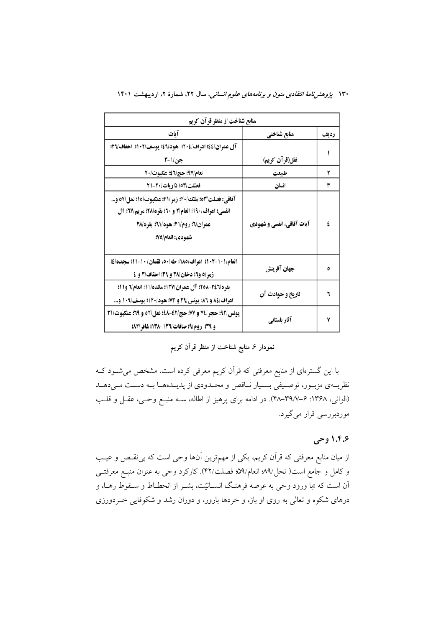| منابع شناخت از منظر قرآن کریم                                                                                                                                       |                           |      |  |  |
|---------------------------------------------------------------------------------------------------------------------------------------------------------------------|---------------------------|------|--|--|
| آيات                                                                                                                                                                | منابع شناختي              | رديف |  |  |
| آل عمران/٤٤؛ اعراف/٢٠٤؛ هود/٤٩؛ يوسف/١٠٢؛ احقاف/٢٩؛                                                                                                                 |                           |      |  |  |
| جن/1-۳                                                                                                                                                              | نقل(قرآن کریم)            |      |  |  |
| نعام/٩٧؛ حج√٤؛ عكبوت/٢٠                                                                                                                                             | طبيعت                     | ۲    |  |  |
| فصّلت/٥٣: ذاريات/٢٠-٢١                                                                                                                                              | انسان                     | ۳    |  |  |
| آفاقي: فصلت/٥٣؛ ملك/٢٠؛ زمر/٢١؛ عنكبوت/١٥؛ نمل/٥٢ و<br>انفسی: اعراف/۱۹۰؛ انعام/۲ و ۲۰؛ بقره/۲۸؛ مریم/۷۲؛ آل<br>عمران\"؛ روم/٢١؛ هود/٦١؛ بقره/٢٨<br>شهودي: انعام/٧٥؛ | آیات آفاقی، انفسی و شهودی |      |  |  |
| انعام/١٠١-١٠٢؛ اعراف/١٨٥؛ طه/٥٠، لقمان/ ١٠-١١؛ سجده/٤؛<br>زمر/٥ و٦؛ دخان/٣٨ و ٣٩؛ احقاف/٣ و ٤                                                                       | جهان آفرينش               |      |  |  |
| بقره\٢٤٦-٢٥٨؛ آل عمران/١٣٧؛ مائده/١١؛ انعام\٦ و١١؛<br>اعراف/٨٤ و ٨٦؛ يونس/٣٩ و ٧٣؛ هود/١٢٠؛ يوسف/١٠٩ و                                                              | تاريخ و حوادث آن          |      |  |  |
| يونس/٩٢؛ حجر/٧٤ و ٧٧؛ حج/٤٢-٤٨؛ نمل/٥٢ و ٢٩؛ عنكبوت/٣١<br>و ٣٩؛ روم/٩؛ صافات/١٣٦-١٣٨٩؛ غافر/٨٢؛                                                                     | آثار باستانی              | ٧    |  |  |

# نمودار ۶ منابع شناخت از منظر قرآن کریم

با این گسترهای از منابع معرفتی که قرآن کریم معرفی کرده است، مشخص میشـود کـه نظریـهي مزبـور، توصـيفي بسـيار نـاقص و محـدودي از پديـدههـا بـه دسـت مـىدهـد (الواني، ۱۳۶۸: ۶–۴۸–۴۸). در ادامه برای پرهیز از اطاله، سـه منبـع وحـی، عقـل و قلـب موردبررسي قرار مي گيرد.

### ۱.۴.۶ وحي

از میان منابع معرفتی که قرآن کریم، یکی از مهمترین آنها وحی است که بی نقـص و عیـب و كامل و جامع است( نحل/٩٩ انعام/٥٩؛ فصلت/٤٢). كاركرد وحي به عنوان منبع معرفتــي اّن است که «با ورود وحی به عرصه فرهنگ انســانیّت، بشــر از انحطــاط و ســقوط رهــا، و درهای شکوه و تعالی به روی او باز، و خردها بارور، و دوران رشد و شکوفایی خـردورزی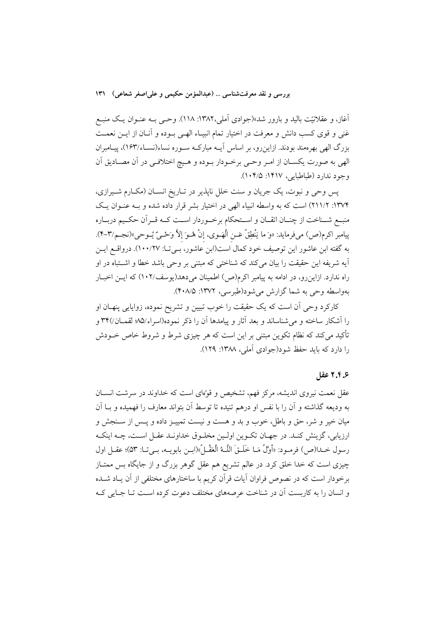آغاز، و عقلانیّت بالید و بارور شد»(جوادی اَملی،۱۳۸۲: ۱۱۸). وحــی بــه عنــوان یــک منبــع غنی و قوی کسب دانش و معرفت در اختیار تمام انبیـاء الهـی بـوده و آنــان از ایــن نعمــت بزرگ الهی بهرهمند بودند. ازاینرو، بر اساس آیــه مبارکــه ســوره نساء(نســاء/۱۶۳)، پیــامبران الهي به صورت يكسـان از امـر وحـي برخـودار بـوده و هـيچ اختلافـي در آن مصـاديق آن وجود ندارد (طباطبایی، ۱۴۱۷: ۰۴/۵).

يس وحي و نبوت، يک جريان و سنت خلل نايذير در تـاريخ انســان (مکــارم شــيرازي، ۱۳۷۴: ۲۱۱/۲) است که به واسطه انبیاء الهی در اختیار بشر قرار داده شده و بـه عنـوان یـک منبع شـناخت از چنـان اتقـان و اسـتحكام برخـوردار اسـت كــه قــراّن حكــيم دربــاره بِيامبر اكرم(ص) ميفرمايد: «وَ ما يَنْطِقُ عَـن الْهَـوي، إنْ هُـوَ إلاَّ وَحْـيٌّ يُـوحي»(نجـم/٣-۴). به گفته ابن عاشور این توصیف خود کمال است(ابن عاشور، بـی تـا: ۱۰۰/۲۷). درواقــع ایــن آيه شريفه اين حقيقت را بيان ميكند كه شناختى كه مبتنى بر وحى باشد خطا و اشتباه در او راه ندارد. ازاین رو، در ادامه به پیامبر اکرم(ص) اطمینان می دهد(یوسف/۱۰۲) که ایــن اخبــار بهواسطه وحي به شما گزارش مي شود(طبرسي، ١٣٧٢: ۴٠٨/۵).

کارکر د وحی آن است که یک حقیقت را خوب تبیین و تشریح نموده، زوایایی پنهـان او را اَشکار ساخته و می شناساند و بعد اَثار و پیامدها اَن را ذکر نموده(اسراء/۰۵ لقمــان/۳۴ و تأکید می کند که نظام تکوین مبتنی بر این است که هر چیزی شرط و شروط خاص خـودش را دارد که باید حفظ شود(جوادی آملی، ۱۳۸۸: ۱۲۹).

### ۶.۶ عقل

عقل نعمت نیروی اندیشه، مرکز فهم، تشخیص و قوَّمای است که خداوند در سرشت انســان به ودیعه گذاشته و آن را با نفس او درهم تنیده تا توسط آن بتواند معارف را فهمیده و بــا آن میان خیر و شر، حق و باطل، خوب و بد و هست و نیست تمییـز داده و پــس از ســنجش و ارزيابي، گزينش كنـد. در جهـان تكـوين اولـين مخلـوق خداونـد عقـل اسـت، چـه اينكـه رسول خـدا(ص) فرمـود: «أَوَّلُ مَـا خَلَـقَ اللَّـهُ الْعَقْـلُ»(ابــن بابويــه، بــى تــا: ٥٣)؛ عقــل اول چیزی است که خدا خلق کرد. در عالم تشریع هم عقل گوهر بزرگ و از جایگاه بس ممتـاز برخودار است که در نصوص فراوان آیات قرآن کریم با ساختارهای مختلفی از آن یـاد شــده و انسان را به کاربست آن در شناخت عرصههای مختلف دعوت کرده است تـا جـایی کـه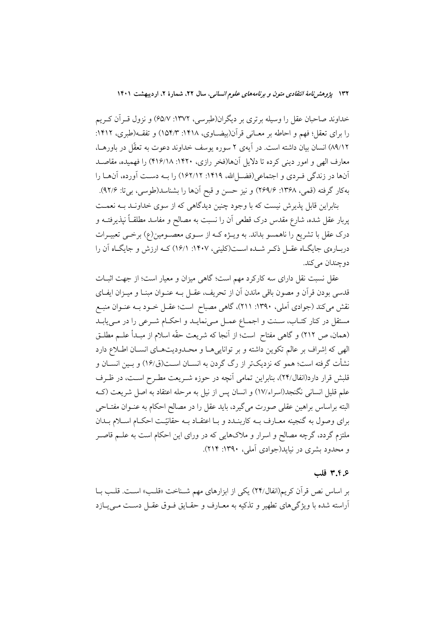خداوند صاحبان عقل را وسیله برتری بر دیگران(طبرسی، ۱۳۷۲: ۶۵/۷) و نزول قـرآن کـریم را برای تعقل؛ فهم و احاطه بر معـانی قرآن(بیضـاوی، ۱۴۱۸: ۱۵۴/۳) و تفقـه(طبری، ۱۴۱۲: ٨٩/١٢) انسان بيان داشته است. در آيهي ٢ سوره يوسف خداوند دعوت به تعقّل در باورهـا، معارف الهي و امور ديني كرده تا دلايل آنها(فخر رازي، ۱۴۲۰: ۴۱۶/۱۸) را فهميده، مقاصـد آنها در زندگی فـردی و اجتماعی(فضـلالله، ۱۴۱۹: ۱۶۲/۱۲) را بــه دســت آورده، آنهــا را بهكار گرفته (قمي، ۱۳۶۸: ۲۶۹/۶) و نيز حسن و قبح آنها را بشناسد(طوسي، بي¤: ۹۲/۶).

بنابراین قابل پذیرش نیست که با وجود چنین دیدگاهی که از سوی خداونـد بـه نعمـت پربار عقل شده، شارع مقدس درک قطعی آن را نسبت به مصالح و مفاسد مطلقــاً نپذیرفتــه و درک عقل با تشریع را ناهمسو بداند. به ویـژه کـه از سـوی معصـومین(ع) برخـی تعبیـرات دربـارهي جايگــاه عقــل ذكــر شــده اســت(كليني، ١۴٠٧: ١۶/١) كــه ارزش و جايگــاه آن را دوچندان مي کند.

عقل نسبت نقل دارای سه کارکرد مهم است؛ گاهی میزان و معیار است؛ از جهت اثبــات قدسی بودن قرآن و مصون باقی ماندن آن از تحریف، عقـل بــه عنــوان مبنــا و میــزان ایفــای نقش میکند (جوادی آملی، ۱۳۹۰: ۲۱۱)، گاهی مصباح است؛ عقـل خــود بــه عنــوان منبــع مستقل در کنار کتـاب، سـنت و اجمـاع عمـل مـیiمایـد و احکـام شـرعی را در مـیuابـد (همان، ص ٢١٢) و گاهي مفتاح است؛ از آنجا كه شريعت حقّه اسلام از مبـدأ علــم مطلــق الهي كه إشراف بر عالم تكوين داشته و بر توانايي هـا و محـدوديتهـاي انســان اطـلاع دارد نشأت گرفته است؛ همو که نزدیکتر از رگ گردن به انســان اســت(ق/۱۶ و بــین انســان و قلبش قرار دارد(انفال/۲۴)، بنابراین تمامی آنچه در حوزه شـریعت مطـرح اسـت، در ظـرف علم قليل انساني نگنجد(اسراء/١٧) و انسان پس از نيل به مرحله اعتقاد به اصل شريعت (کـه البته براساس براهين عقلي صورت مي گيرد، بايد عقل را در مصالح احكام به عنــوان مفتــاحي برای وصول به گنجینه معـارف بــه کاربنــدد و بــا اعتقــاد بــه حقانیّــت احکــام اســلام بــدان ملتزم گردد، گرچه مصالح و اسرار و ملاکهایی که در ورای این احکام است به علــم قاصــر و محدود بشري در نيايد(جوادي آملي، ١٣٩٠: ٢١۴).

#### ۳.۴.۶ قلب

بر اساس نص قرأن كريم(انفال/٢۴) يكي از ابزارهاي مهم شـناخت «قلـب» اسـت. قلـب بـا آراسته شده با ویژگیهای تطهیر و تذکیه به معـارف و حقـایق فـوق عقـل دسـت مـیLازد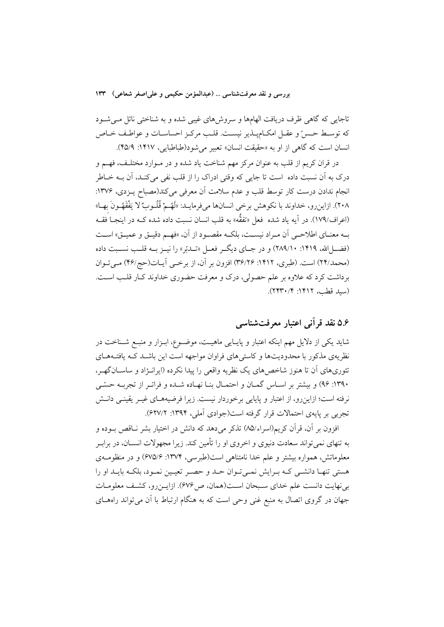تاجایی که گاهی ظرف دریافت الهامها و سروشهای غیبی شده و به شناختی نائل میشود كه توسط حسنّ و عقـل امكــاميــذير نيســت. قلــب مركـز احساســات و عواطـف خــاص انسان است که گاهی از او به «حقیقت انسان» تعبیر می شود(طباطبایی، ۱۴۱۷: ۴۵/۹).

در قرآن کریم از قلب به عنوان مرکز مهم شناخت یاد شده و در مــوارد مختلـف، فهــم و درک به آن نسبت داده است تا جایی که وقتی ادراک را از قلب نفی میکنـد، آن بــه خــاطر انجام ندادن درست كار توسط قلب و عدم سلامت أن معرفي مي كند(مصباح يـزدي، ١٣٧۶: ٢٠٨). ازاين رو، خداوند با نكوهش برخي انسانها مي فرمايــد: «لَهُــمْ قُلُــوبٌ لا يَفْقَهُــونَ بهــا» (اعراف/١٧٩). در آيه ياد شده ً فعل «تفقُّه» به قلب انسان نسبت داده شده کــه در اينجــا فقــه بـه معنــاي اطلاحــي أن مــراد نيســت، بلكــه مقصــود از أن، «فهــم دقيــق و عميــق» اســت (فضا الله، ۱۴۱۹: ۲۸۹/۱۰) و در جبای دیگر فعبل «تبدتر» را نسز سه قلب نسبت داده (محمد/٢۴) است. (طبري، ١۴١٢: ٣۶/٢۶) افزون بر آن، از برخمي آيـات(حج/۴۶) مـيتـوان برداشت کرد که علاوه بر علم حصولی، درک و معرفت حضوری خداوند کـار قلـب اسـت. (سيد قطب، ١٣١٢: ٢٢٣٠/٢).

# ۵.۶ نقد قرآنی اعتبار معرفتشناسی

شاید یکی از دلایل مهم اینکه اعتبار و پایــایی ماهیــت، موضــوع، ابــزار و منبــع شــناخت در نظریهی مذکور با محدودیتها و کاستی های فراوان مواجهه است این باشـد کـه یافتـههـای تئوریهای آن تا هنوز شاخصهای یک نظریه واقعی را پیدا نکرده (ایرانـژاد و ساسـانگهـر، ۱۳۹۰: ۹۶) و بیشتر بر اسـاس گمـان و احتمـال بنـا نهـاده شـده و فراتـر از تجربـه حسّـی نرفته است؛ ازاینِ رو، از اعتبار و پایایی برخوردار نیست. زیرا فرضیههـای غیــر یقینــی دانــش تجربي بر پايهي احتمالات قرار گرفته است(جوادي آملي، ۱۳۹۴: ۶۲۷/۲).

افزون بر آن، قرآن کریم(اسراء/۸۵) تذکر میدهد که دانش در اختیار بشر نـاقص بـوده و به تنهای نمیتواند سعادت دنیوی و اخروی او را تأمین کند. زیرا مجهولات انســان، در برابــر معلوماتش، همواره بیشتر و علم خدا نامتناهی است(طبرسی، ۱۳۷۴: ۶۷۵/۶) و در منظومـهی هستی تنهـا دانشـی کـه بـرایش نمـیتوان حـد و حصـر تعیـین نمـود، بلکـه بایـد او را بي نهايت دانست علم خداي سـبحان اسـت(همان، ص ۶۷۶). ازايـن رو، كشـف معلومـات جهان در گروی اتصال به منبع غنی وحی است که به هنگام ارتباط با آن می تواند راههای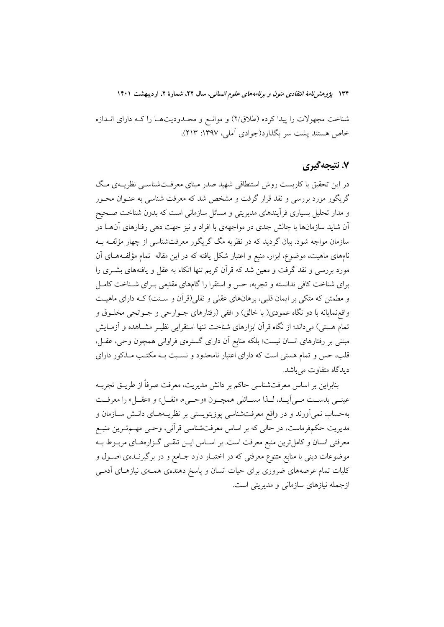شناخت مجهولات را پیدا کرده (طلاق/۲) و موانع و محـدودیتهـا را کـه دارای انــدازه خاص هستند يشت سر بگذارد(جوادي آملي، ١٣٩٧: ٢١٣).

### ۷. نتیجهگیری

در این تحقیق با کاربست روش استنطاقی شهید صدر مبنای معرفـتشناسـبی نظریــهی مـگ گریگور مورد بررسی و نقد قرار گرفت و مشخص شد که معرفت شناسی به عنــوان محــور و مدار تحلیل بسیاری فرآیندهای مدیریتی و مسائل سازمانی است که بدون شناخت صـحیح اّن شاید سازمانها با چالش جدی در مواجههی با افراد و نیز جهت دهی رفتارهای آنهــا در سازمان مواجه شود. بیان گردید که در نظریه مگ گریگور معرفتشناسی از چهار مؤلف بـه نامهای ماهیت، موضوع، ابزار، منبع و اعتبار شکل یافته که در این مقاله تمام مؤلَّفههـای آن مورد بررسی و نقد گرفت و معین شد که قرآن کریم تنها اتکاء به عقل و یافتههای بشــری را برای شناخت کافی ندانسته و تجربه، حس و استقرا را گامهای مقدمی به ای شـناخت کامـل و مطمئن که متکی بر ایمان قلبی، برهانهای عقلی و نقلی(قرآن و سـنت) کـه دارای ماهیـت واقعزمایانه با دو نگاه عمودی( با خالق) و افقی (رفتارهای جــوارحی و جــوانحی مخلــوق و تمام هستی) میداند؛ از نگاه قرآن ابزارهای شناخت تنها استقرایی نظیـر مشــاهده و آزمــایش مبتنی بر رفتارهای انسان نیست؛ بلکه منابع اّن دارای گسترهی فراوانی همچون وحی، عقــل، قلب، حس و تمام هستی است که دارای اعتبار نامحدود و نسـبت بــه مکتـب مــذکور دارای دیدگاه متفاوت مے باشد.

بنابراین بر اساس معرفتشناسی حاکم بر دانش مدیریت، معرفت صرفاً از طریــق تجربــه عينــي بدســت مــي[يــد، لــذا مســائلي همچــون «وحــي»، «نقــل» و «عقــل» را معرفــت بهحساب نمی[ورند و در واقع معرفتشناسی پوزیتویستی بر نظریــههــای دانــش ســازمان و مدیریت حکمفرماست، در حالی که بر اساس معرفتشناسی قرآنی، وحـی مهــمتــرین منبــع معرفتی انسان و کامل ترین منبع معرفت است. بر اسـاس ایــن تلقــی گــزارههـای مربــوط بــه موضوعات دینی با منابع متنوع معرفتی که در اختیـار دارد جـامع و در برگیرنــدهی اصــول و کلیات تمام عرصههای ضروری برای حیات انسان و پاسخ دهندهی همـهی نیازهـای آدمـی ازجمله نیازهای سازمانی و مدیریتی است.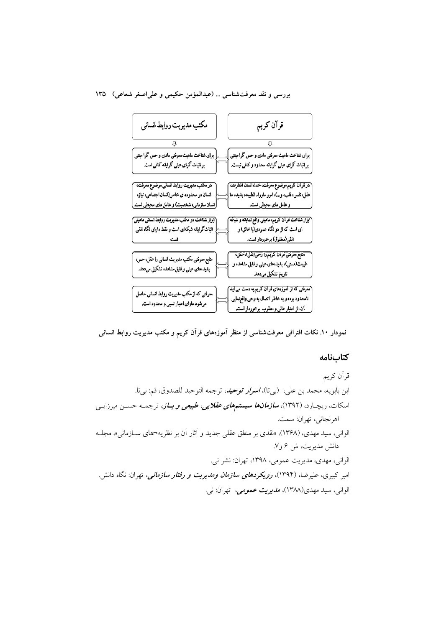بررسی و نقد معرفتشناسی ... (عبدالمؤمن حکیمی و علیاصغر شعاعی) ۱۳۵



نمودار ۱۰. نکات افتراقی معرفتشناسی از منظر آموزههای قرآن کریم و مکتب مدیریت روابط انسانی

#### كتابنامه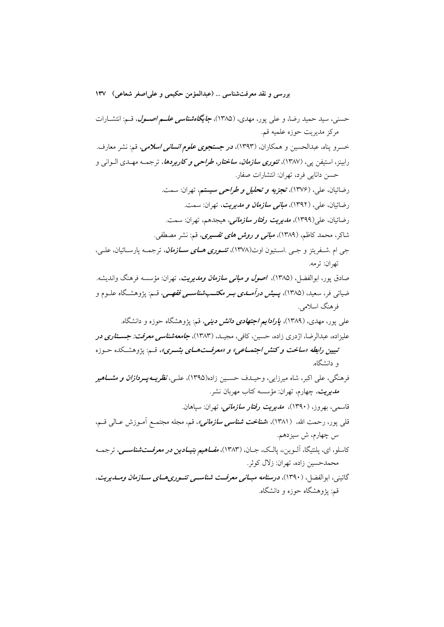حسنی، سید حمید رضا، و علی پور، مهدی، (۱۳۸۵)، **جایگا***هشناسی علــم اصــول***، ق**ـم: انتشــارات مركز مديريت حوزه علميه قم. خسرو پناه، عبدالحسین و همکاران، (۱۳۹۳)، **در جستج***وی علوم انسانی اسلامی***،** قم: نشر معارف. رابینز، استیفن پی، (۱۳۸۷)، *تئوری سازمان، ساختار، طراحی و کاربردها*، ترجمـه مهـدی الـوانی و حسن دانایی فرد، تهران: انتشارات صفار. رضائيان، علي، (١٣٧۶)، تجزي*ه و تحليل و طراحي سيستم،* تهران: سمت. رضائيان، علي، (١٣٩٢)، *مباني سازمان و مديريت،* تهران: سمت. رضائيان، على(١٣٩٩)، *مديويت وفتاو سازماني،* هيجدهم، تهران: سمت. شاکر، محمد کاظم، (۱۳۸۹)، *مبانی و روش های تفسیری*، قم: نشر مصطفی. جي ام .شــفريتز و جــي .اســتيون اوت(١٣٧٨)، تشــ*وري هـــاي ســـازمان*، ترجمــه پارســائيان، علــي، تهران: ترمه. صادق پور، ابوالفضل، (۱۳۸۵)، *اصول و مبانی سازمان ومدیریت*، تهران: مؤسسه فرهنگ واندیشه. ضیائ<sub>ی</sub> فر، سعید، (۱۳۸۵)، **پـی***ش درآمــدی بــر مکتـــبشناســی فقهــی،* **ق**ـم: پژوهشـگاه علــوم و فرهنگ اسلامي. عل<sub>ی</sub> پور، مهدی، (۱۳۸۹)، *پارادایم اجتهادی دانش دینی،* قم: پژوهشگاه حوزه و دانشگاه. علیزاده، عبدالرضا، اژدری زاده، حسین، کافی، مجیـد. (۱۳۸۳)، **ج***امعهشناسی معرفت: جســتاری در* تبیین رابطه «ساخت و کنش اجتماعی» و «معرفت هـای بشـری»، قـم: پژوهشـکده حـوزه و دانشگاه. فرهنگی، علی اکبر، شاه میرزایی، وحیـدف حسـین زاده(۱۳۹۵)، علـی، *نظریــهـپــردازان و مشـــاهیر مدیریت،* چهارم، تهران: مؤسسه کتاب مهربان نشر. قاسمی، بھروز، (۱۳۹۰)، م*دیریت رفتار سازمانی،* تھران: سیاهان. قل<sub>ی</sub> پور، رحمت الله، (۱۳۸۱)، «*شناخت شناسی سازمانی»،* **ق**م، مجله مجتمـع اَمـوزش عـالی قــم، س چهارم، ش سیزدهم. کاسلو، ای، پلنتیگا، آلــوین،، پالــک، جــان، (۱۳۸۳)، *مفــاهیم بنیــادین در معرفـــتشناســـی،* ترجمــه محمدحسين زاده، تهران: زلال كوثر. گائینه، ابوالفضا ، (۱۳۹۰)، **درسن***امه مبیانی معرفت شناسبی تئیو دی هیای سیازمان ومیدیویت،* قم: یژوهشگاه حوزه و دانشگاه.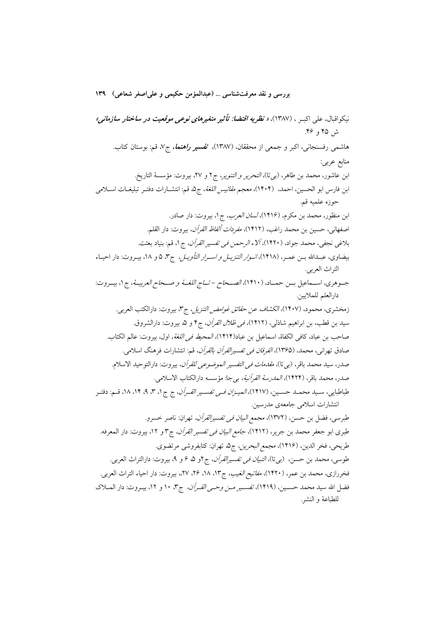بررسي و نقد معرفتشناسي … (عبدالمؤمن حكيمي و على اصغر شعاعي) ١٣٩ نيكواقبال، على اكبـر ، (١٣٨٧)، *« نظريه اقتضا: تأثير متغيرهاى نوعى موقعيت در ساختار سازمانى»* ش ۴۵ و ۴۶. هاشمی رفسنجانی، اکبر و جمعی از محققان، (۱۳۸۷)، تفسیر *راهنما، ج ۷*، قم: بوستان کتاب. منابع عربي: ابن عاشور، محمد بن طاهر، (بي تا)، *التحرير و التنوير*، ج٢ و ٢٧، بيروت: مؤسسة التاريخ. ابن فارس ابو الحسين، احمد، (۱۴۰۴)، *معجم مقائيس اللغة*، ج۵ قم: انتشــارات دفتــر تبليغــات اســـلامي حوزه علميه قم. ابن منظور، محمد بن مکرم، (۱۴۱۶)، *لسان العرب*، ج۱، بیروت: دار صادر. اصفهاني، حسين بن محمد راغب، (١۴١٢)، *مفردات ألفاظ القرآن*، بيروت: دار القلم. بلاغي نجفي، محمد جواد، (١۴٢٠)، ألاء *الرحمن في تفسير القرآن*، ج١، قم: بنياد بعثت. بیضاوی، عبدالله بــن عمــر، (١۴١٨)، *انــوار التنزیــل و اســرار التأویــل*، ج۳، ۵ و ١٨، بیــروت: دار احیــاء التراث العربي. جـوهري، اســماعيل بــن حمــاد، (١۴١٠)، *الصــحاح - تــاج اللغــهُ و صــحاح العربيــهُ*، ج١، بيــروت: دارالعلم للملايين. زمخشري، محمود، (۱۴۰۷)، *الكشاف عن حقائق غوامض التنزيل* ، ج٣، بيروت: دارالكتب العربي. سيد بن قطب، بن ابراهيم شاذلي، (١۴١٢)، *في ظلال القرآن*، ج۴ و ۵، بيروت: دارالشروق. صاحب بن عباد، كافي الكفاة، اسماعيل بن عباد(١۴١۴)، *المحيط في اللغة*، اول، بيروت: عالم الكتاب. صادق تهرانی، محمد، (۱۳۶۵)، *الفرقان فی تفسیرالقرآن بالقرآن*، قم: انتشارات فرهنگ اسلامی. صدر، سيد محمد باقر، (بي تا)، *مقدمات في التفسير الموضوعي للقرآن*، بيروت: دارالتوحيد الاسلام. صدر، محمد باقر، (١۴٢۴)، *المدرسة القرآنية*، بيجا: مؤسسه دارالكتاب الاسلامي. طباطبايي، سـيد محمـد حسـين، (١۴١٧)، *الميـزان فـي تفسـير القـرآن*، ج ج ١، ٣، ٩، ١٢، ١٨، قـم: دفتـر انتشارات اسلامی جامعهی مدرسین. طبرسي، فضل بن حسن، (١٣٧٢)، *مجمع البيان في تفسيرالقرآن،* تهران: ناصر خسرو. طبري ابو جعفر محمد بن جرير، (١۴١٢)، *جامع البيان في تفسير القرآن*، ج٣ و ١٢، بيروت: دار المعرفه. طريحي، فخر الدين، (١۴١۶)، مجمع *البحرين*، جِ۵ تهران: كتابفروشي مرتضوي. طوسي، محمد بن حسن، (بيiأ)، *التبيان في تفسيرالقرآن*، ج7و ۵، ۶ و ۹، بيروت: دارالتراث العربي. فخررازي، محمد بن عمر، (١۴٢٠)، *مفاتيح الغيب*، ج١٣، ١٨، ٢۶، ٢٧،، بيروت: دار احياء التراث العربي. فضل الله سيد محمد حسـين، (١۴١٩)، *تفسـير مـن وحـي القـرآن*، ج٣، ١٠ و ١٢، بيـروت: دار المــلاک للطباعة و النشر.